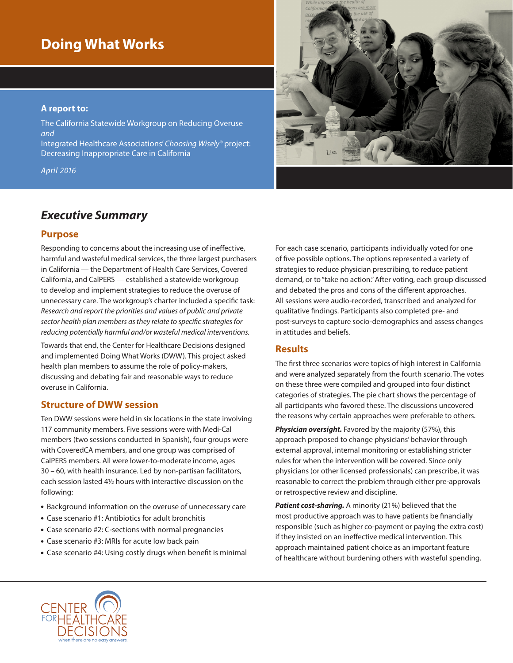# **Doing What Works**

#### **A report to:**

The California Statewide Workgroup on Reducing Overuse *and* 

Integrated Healthcare Associations' *Choosing Wisely*® project: Decreasing Inappropriate Care in California

*April 2016*

# *Executive Summary*

#### **Purpose**

Responding to concerns about the increasing use of ineffective, harmful and wasteful medical services, the three largest purchasers in California — the Department of Health Care Services, Covered California, and CalPERS — established a statewide workgroup to develop and implement strategies to reduce the overuse of unnecessary care. The workgroup's charter included a specific task: *Research and report the priorities and values of public and private sector health plan members as they relate to specific strategies for reducing potentially harmful and/or wasteful medical interventions.*

Towards that end, the Center for Healthcare Decisions designed and implemented Doing What Works (DWW). This project asked health plan members to assume the role of policy-makers, discussing and debating fair and reasonable ways to reduce overuse in California.

## **Structure of DWW session**

Ten DWW sessions were held in six locations in the state involving 117 community members. Five sessions were with Medi-Cal members (two sessions conducted in Spanish), four groups were with CoveredCA members, and one group was comprised of CalPERS members. All were lower-to-moderate income, ages 30 – 60, with health insurance. Led by non-partisan facilitators, each session lasted 4½ hours with interactive discussion on the following:

- Background information on the overuse of unnecessary care
- Case scenario #1: Antibiotics for adult bronchitis
- Case scenario #2: C-sections with normal pregnancies
- Case scenario #3: MRIs for acute low back pain
- Case scenario #4: Using costly drugs when benefit is minimal

For each case scenario, participants individually voted for one of five possible options. The options represented a variety of strategies to reduce physician prescribing, to reduce patient demand, or to "take no action." After voting, each group discussed and debated the pros and cons of the different approaches. All sessions were audio-recorded, transcribed and analyzed for qualitative findings. Participants also completed pre- and post-surveys to capture socio-demographics and assess changes in attitudes and beliefs.

## **Results**

The first three scenarios were topics of high interest in California and were analyzed separately from the fourth scenario. The votes on these three were compiled and grouped into four distinct categories of strategies. The pie chart shows the percentage of all participants who favored these. The discussions uncovered the reasons why certain approaches were preferable to others.

*Physician oversight.* Favored by the majority (57%), this approach proposed to change physicians' behavior through external approval, internal monitoring or establishing stricter rules for when the intervention will be covered. Since only physicians (or other licensed professionals) can prescribe, it was reasonable to correct the problem through either pre-approvals or retrospective review and discipline.

*Patient cost-sharing.* A minority (21%) believed that the most productive approach was to have patients be financially responsible (such as higher co-payment or paying the extra cost) if they insisted on an ineffective medical intervention. This approach maintained patient choice as an important feature of healthcare without burdening others with wasteful spending.